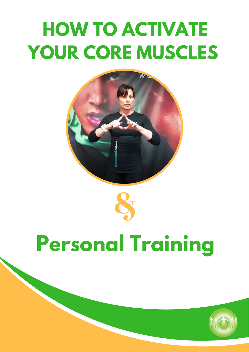# **HOW TO ACTIVATE YOUR CORE MUSCLES**





# **Personal Training**

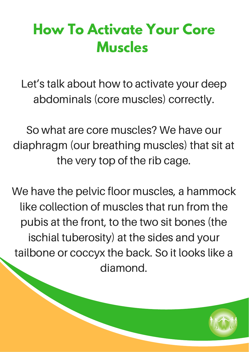## **How To Activate Your Core Muscles**

Let's talk about how to activate your deep abdominals (core muscles) correctly.

So what are core muscles? We have our diaphragm (our breathing muscles) that sit at the very top of the rib cage.

We have the pelvic floor muscles, a hammock like collection of muscles that run from the pubis at the front, to the two sit bones (the ischial tuberosity) at the sides and your tailbone or coccyx the back. So it looks like a diamond.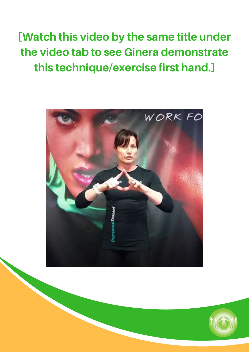[Watch this video by the same title under the video tab to see Ginera demonstrate this technique/exercise first hand.]



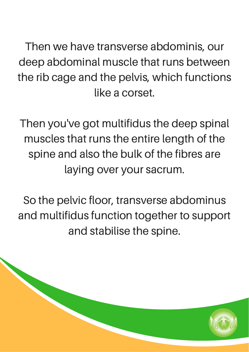Then we have transverse abdominis, our deep abdominal muscle that runs between the rib cage and the pelvis, which functions like a corset.

Then you've got multifidus the deep spinal muscles that runs the entire length of the spine and also the bulk of the fibres are laying over your sacrum.

So the pelvic floor, transverse abdominus and multifidus function together to support and stabilise the spine.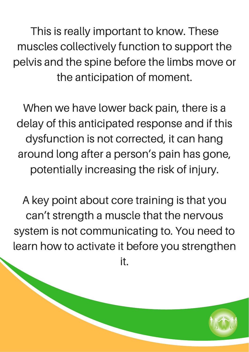This is really important to know. These muscles collectively function to support the pelvis and the spine before the limbs move or the anticipation of moment.

When we have lower back pain, there is a delay of this anticipated response and if this dysfunction is not corrected, it can hang around long after a person's pain has gone, potentially increasing the risk of injury.

A key point about core training is that you can't strength a muscle that the nervous system is not communicating to. You need to learn how to activate it before you strengthen it.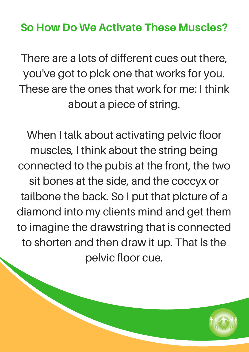#### So How Do We Activate These Muscles?

There are a lots of different cues out there, you've got to pick one that works for you. These are the ones that work for me: I think about a piece of string.

When I talk about activating pelvic floor muscles, I think about the string being connected to the pubis at the front, the two sit bones at the side, and the coccyx or tailbone the back. So I put that picture of a diamond into my clients mind and get them to imagine the drawstring that is connected to shorten and then draw it up. That is the pelvic floor cue.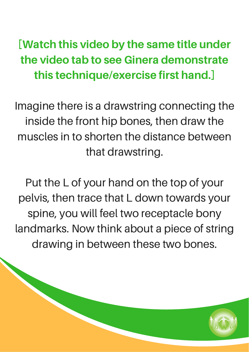### [Watch this video by the same title under the video tab to see Ginera demonstrate this technique/exercise first hand.]

Imagine there is a drawstring connecting the inside the front hip bones, then draw the muscles in to shorten the distance between that drawstring.

Put the L of your hand on the top of your pelvis, then trace that L down towards your spine, you will feel two receptacle bony landmarks. Now think about a piece of string drawing in between these two bones.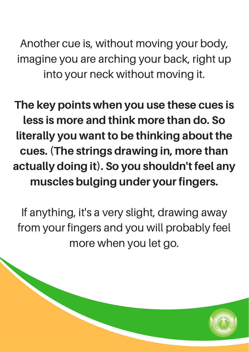Another cue is, without moving your body, imagine you are arching your back, right up into your neck without moving it.

The key points when you use these cues is less is more and think more than do. So literally you want to be thinking about the cues. (The strings drawing in, more than actually doing it). So you shouldn't feel any muscles bulging under your fingers.

If anything, it's a very slight, drawing away from your fingers and you will probably feel more when you let go.